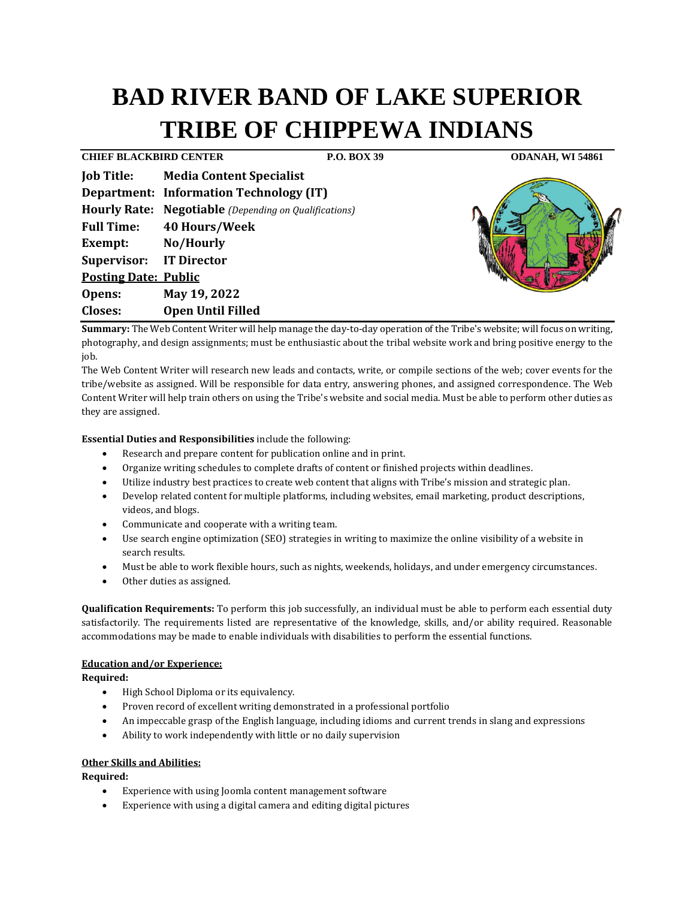# **BAD RIVER BAND OF LAKE SUPERIOR TRIBE OF CHIPPEWA INDIANS**

**CHIEF BLACKBIRD CENTER P.O. BOX 39 ODANAH, WI 54861**

|                                | <b>Job Title: Media Content Specialist</b>                   |
|--------------------------------|--------------------------------------------------------------|
|                                | <b>Department: Information Technology (IT)</b>               |
|                                | <b>Hourly Rate: Negotiable</b> (Depending on Qualifications) |
| <b>Full Time:</b>              | <b>40 Hours/Week</b>                                         |
| Exempt: No/Hourly              |                                                              |
| <b>Supervisor:</b> IT Director |                                                              |
| <b>Posting Date: Public</b>    |                                                              |
| Opens:                         | May 19, 2022                                                 |
| Closes:                        | <b>Open Until Filled</b>                                     |



Summary: The Web Content Writer will help manage the day-to-day operation of the Tribe's website; will focus on writing, photography, and design assignments; must be enthusiastic about the tribal website work and bring positive energy to the job.

The Web Content Writer will research new leads and contacts, write, or compile sections of the web; cover events for the tribe/website as assigned. Will be responsible for data entry, answering phones, and assigned correspondence. The Web Content Writer will help train others on using the Tribe's website and social media. Must be able to perform other duties as they are assigned.

**Essential Duties and Responsibilities** include the following:

- Research and prepare content for publication online and in print.
- Organize writing schedules to complete drafts of content or finished projects within deadlines.
- Utilize industry best practices to create web content that aligns with Tribe's mission and strategic plan.
- Develop related content for multiple platforms, including websites, email marketing, product descriptions, videos, and blogs.
- Communicate and cooperate with a writing team.
- Use search engine optimization (SEO) strategies in writing to maximize the online visibility of a website in search results.
- Must be able to work flexible hours, such as nights, weekends, holidays, and under emergency circumstances.
- Other duties as assigned.

**Qualification Requirements:** To perform this job successfully, an individual must be able to perform each essential duty satisfactorily. The requirements listed are representative of the knowledge, skills, and/or ability required. Reasonable accommodations may be made to enable individuals with disabilities to perform the essential functions.

## **Education and/or Experience:**

**Required:**

- High School Diploma or its equivalency.
- Proven record of excellent writing demonstrated in a professional portfolio
- An impeccable grasp of the English language, including idioms and current trends in slang and expressions
- Ability to work independently with little or no daily supervision

## **Other Skills and Abilities:**

**Required:**

- Experience with using Joomla content management software
- Experience with using a digital camera and editing digital pictures